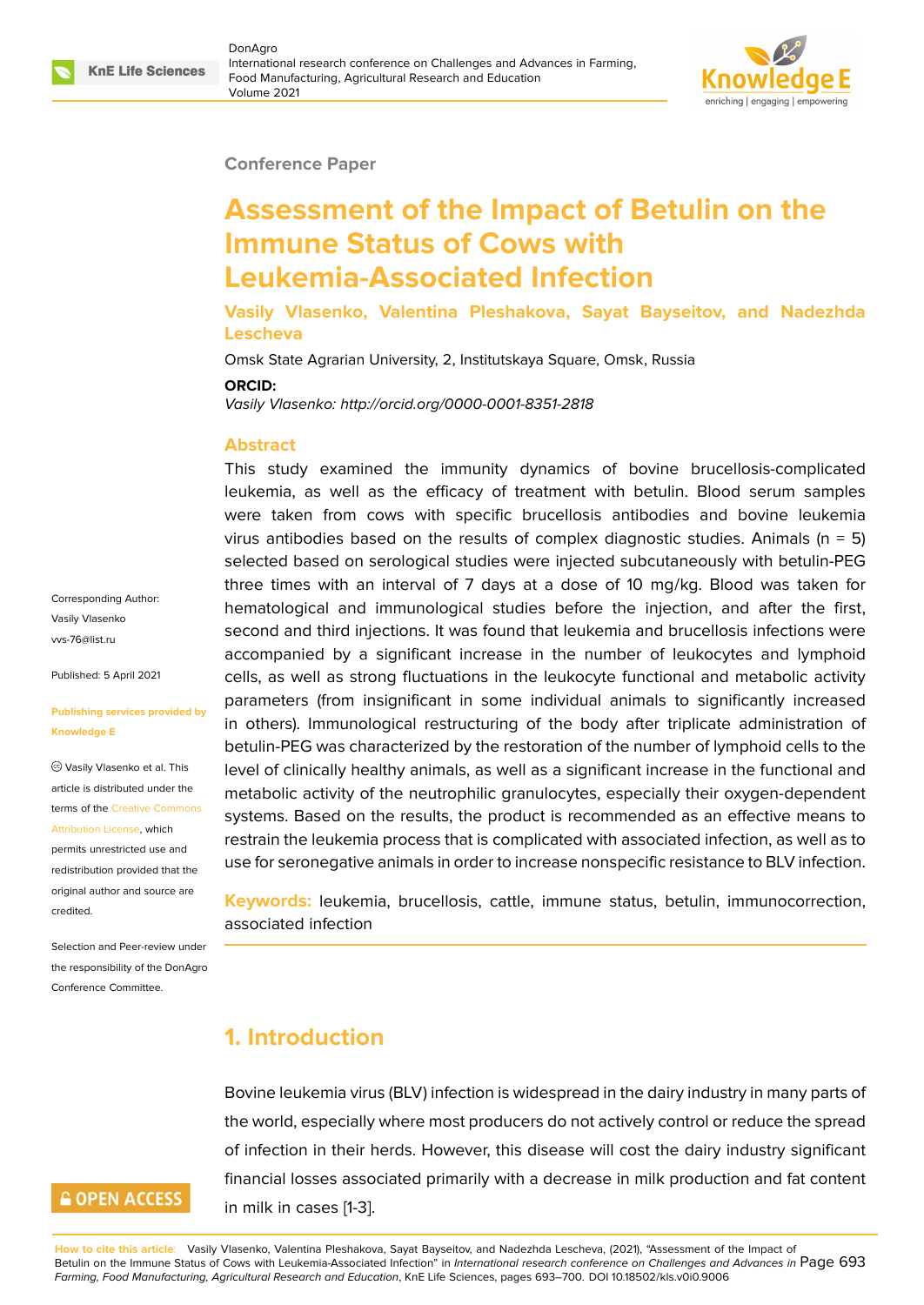

#### **Conference Paper**

# **Assessment of the Impact of Betulin on the Immune Status of Cows with Leukemia-Associated Infection**

**Vasily Vlasenko, Valentina Pleshakova, Sayat Bayseitov, and Nadezhda Lescheva**

Omsk State Agrarian University, 2, Institutskaya Square, Omsk, Russia

#### **ORCID:**

*Vasily Vlasenko: http://orcid.org/0000-0001-8351-2818*

### **Abstract**

This study examined the immunity dynamics of bovine brucellosis-complicated leukemia, as well as the efficacy of treatment with betulin. Blood serum samples were taken from cows with specific brucellosis antibodies and bovine leukemia virus antibodies based on the results of complex diagnostic studies. Animals ( $n = 5$ ) selected based on serological studies were injected subcutaneously with betulin-PEG three times with an interval of 7 days at a dose of 10 mg/kg. Blood was taken for hematological and immunological studies before the injection, and after the first, second and third injections. It was found that leukemia and brucellosis infections were accompanied by a significant increase in the number of leukocytes and lymphoid cells, as well as strong fluctuations in the leukocyte functional and metabolic activity parameters (from insignificant in some individual animals to significantly increased in others). Immunological restructuring of the body after triplicate administration of betulin-PEG was characterized by the restoration of the number of lymphoid cells to the level of clinically healthy animals, as well as a significant increase in the functional and metabolic activity of the neutrophilic granulocytes, especially their oxygen-dependent systems. Based on the results, the product is recommended as an effective means to restrain the leukemia process that is complicated with associated infection, as well as to use for seronegative animals in order to increase nonspecific resistance to BLV infection.

**Keywords:** leukemia, brucellosis, cattle, immune status, betulin, immunocorrection, associated infection

## **1. Introduction**

Bovine leukemia virus (BLV) infection is widespread in the dairy industry in many parts of the world, especially where most producers do not actively control or reduce the spread of infection in their herds. However, this disease will cost the dairy industry significant financial losses associated primarily with a decrease in milk production and fat content in milk in cases [1-3].

**How to cite this article**: Vasily Vlasenko, Valentina Pleshakova, Sayat Bayseitov, and Nadezhda Lescheva, (2021), "Assessment of the Impact of Betulin on the Immune Status of Cows with Leukemia-Associated Infection" in *International research conference on Challenges and Advances in* Page 693 *Farming, Food Manufacturing, Agricultural Research and Education*, KnE Life Sciences, pages 693–700. DOI 10.18502/kls.v0i0.9006

Corresponding Author: Vasily Vlasenko vvs-76@list.ru

Published: 5 April 2021

#### **[Publishing se](mailto:vvs-76@list.ru)rvices provided by Knowledge E**

Vasily Vlasenko et al. This article is distributed under the terms of the Creative Commons Attribution License, which

permits unrestricted use and redistribution provided that the original auth[or and source are](https://creativecommons.org/licenses/by/4.0/) [credited.](https://creativecommons.org/licenses/by/4.0/)

Selection and Peer-review under the responsibility of the DonAgro Conference Committee.

# **GOPEN ACCESS**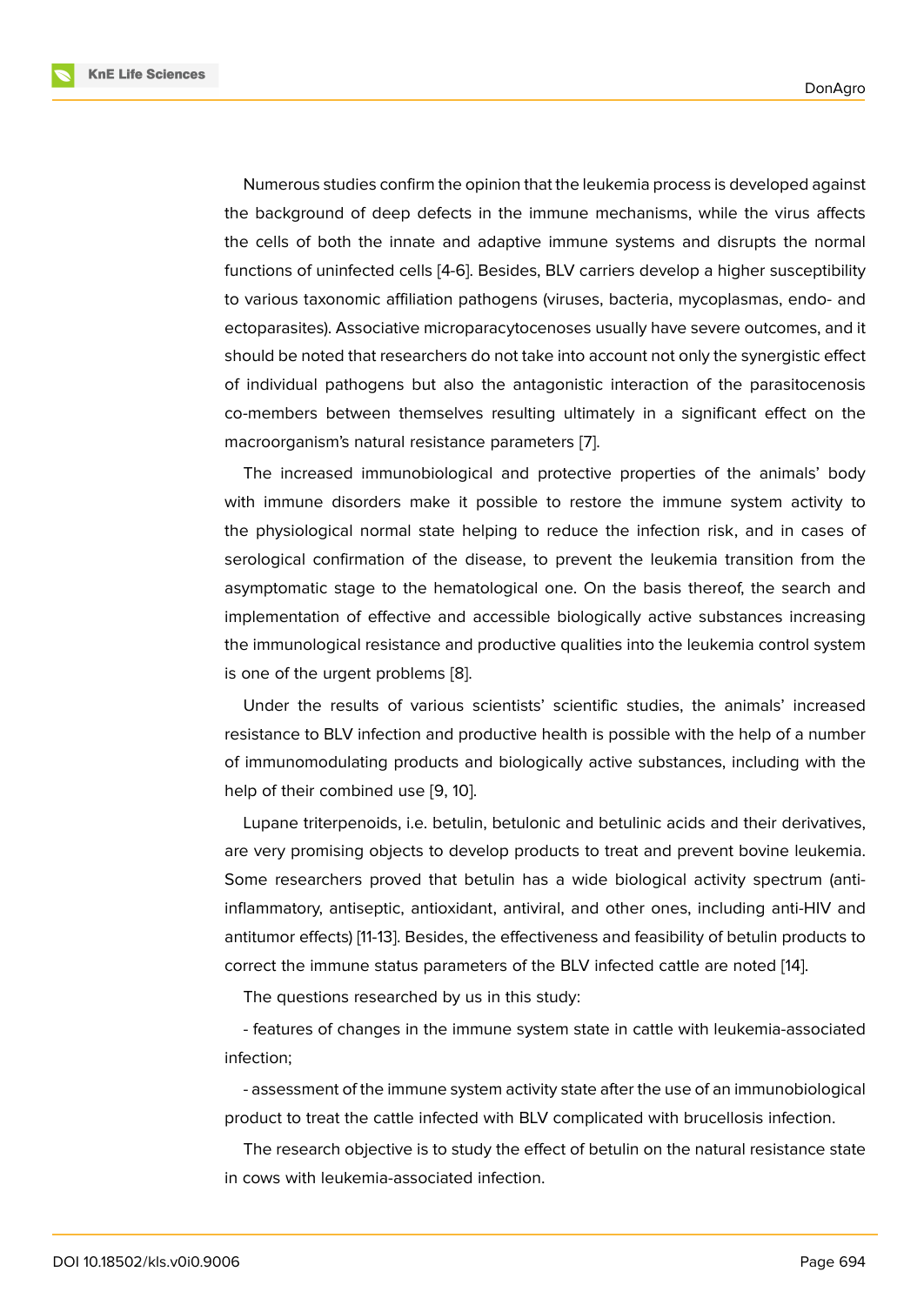Numerous studies confirm the opinion that the leukemia process is developed against the background of deep defects in the immune mechanisms, while the virus affects the cells of both the innate and adaptive immune systems and disrupts the normal functions of uninfected cells [4-6]. Besides, BLV carriers develop a higher susceptibility to various taxonomic affiliation pathogens (viruses, bacteria, mycoplasmas, endo- and ectoparasites). Associative microparacytocenoses usually have severe outcomes, and it should be noted that researchers do not take into account not only the synergistic effect of individual pathogens but also the antagonistic interaction of the parasitocenosis co-members between themselves resulting ultimately in a significant effect on the macroorganism's natural resistance parameters [7].

The increased immunobiological and protective properties of the animals' body with immune disorders make it possible to restore the immune system activity to the physiological normal state helping to redu[ce](#page-6-0) the infection risk, and in cases of serological confirmation of the disease, to prevent the leukemia transition from the asymptomatic stage to the hematological one. On the basis thereof, the search and implementation of effective and accessible biologically active substances increasing the immunological resistance and productive qualities into the leukemia control system is one of the urgent problems [8].

Under the results of various scientists' scientific studies, the animals' increased resistance to BLV infection and productive health is possible with the help of a number of immunomodulating product[s](#page-6-1) and biologically active substances, including with the help of their combined use [9, 10].

Lupane triterpenoids, i.e. betulin, betulonic and betulinic acids and their derivatives, are very promising objects to develop products to treat and prevent bovine leukemia. Some researchers proved t[ha](#page-7-0)[t b](#page-7-1)etulin has a wide biological activity spectrum (antiinflammatory, antiseptic, antioxidant, antiviral, and other ones, including anti-HIV and antitumor effects) [11-13]. Besides, the effectiveness and feasibility of betulin products to correct the immune status parameters of the BLV infected cattle are noted [14].

The questions researched by us in this study:

- features of changes in the immune system state in cattle with leukemia[-as](#page-7-2)sociated infection;

- assessment of the immune system activity state after the use of an immunobiological product to treat the cattle infected with BLV complicated with brucellosis infection.

The research objective is to study the effect of betulin on the natural resistance state in cows with leukemia-associated infection.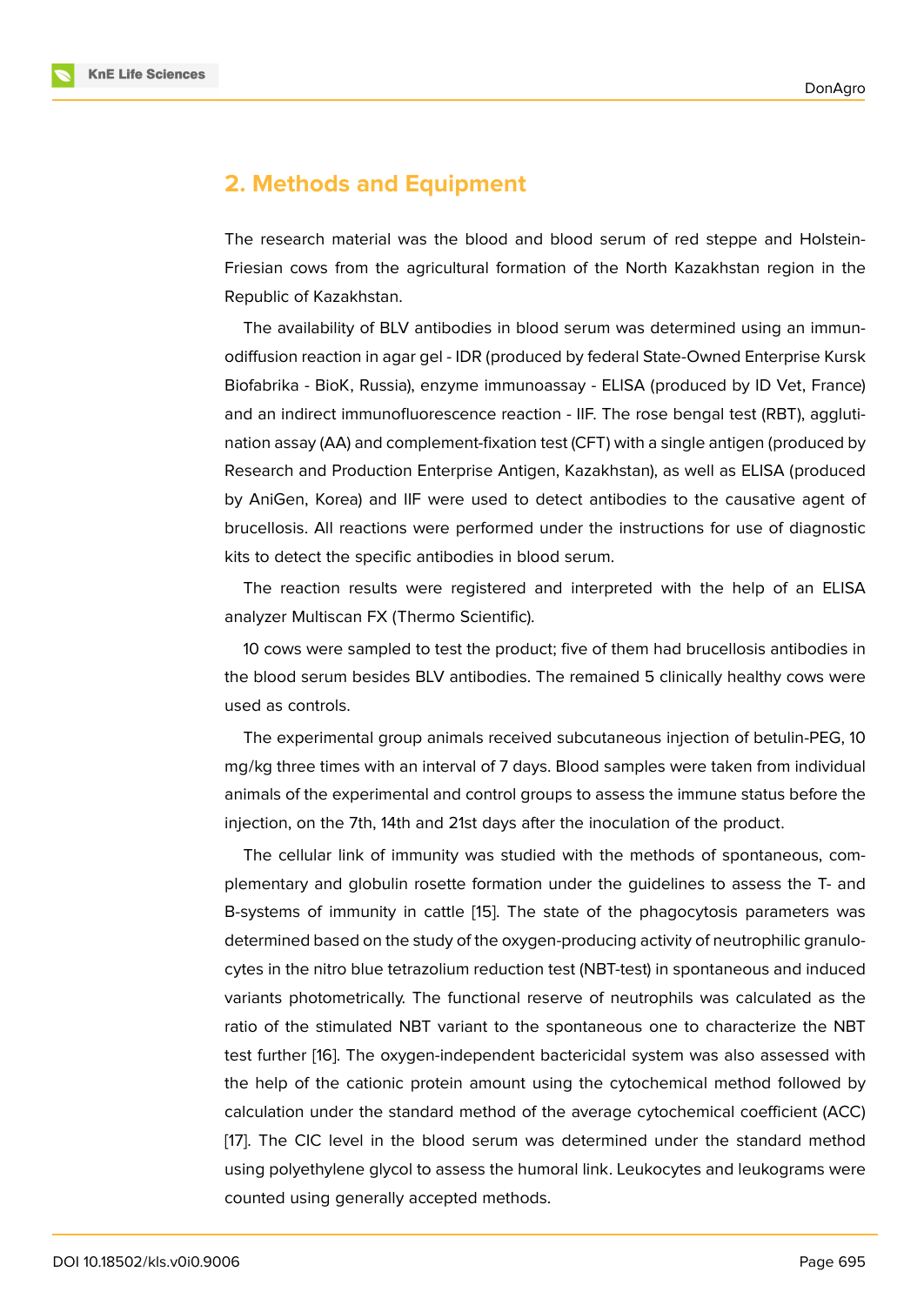### **2. Methods and Equipment**

The research material was the blood and blood serum of red steppe and Holstein-Friesian cows from the agricultural formation of the North Kazakhstan region in the Republic of Kazakhstan.

The availability of BLV antibodies in blood serum was determined using an immunodiffusion reaction in agar gel - IDR (produced by federal State-Owned Enterprise Kursk Biofabrika - BioK, Russia), enzyme immunoassay - ELISA (produced by ID Vet, France) and an indirect immunofluorescence reaction - IIF. The rose bengal test (RBT), agglutination assay (AA) and complement-fixation test (CFT) with a single antigen (produced by Research and Production Enterprise Antigen, Kazakhstan), as well as ELISA (produced by AniGen, Korea) and IIF were used to detect antibodies to the causative agent of brucellosis. All reactions were performed under the instructions for use of diagnostic kits to detect the specific antibodies in blood serum.

The reaction results were registered and interpreted with the help of an ELISA analyzer Multiscan FX (Thermo Scientific).

10 cows were sampled to test the product; five of them had brucellosis antibodies in the blood serum besides BLV antibodies. The remained 5 clinically healthy cows were used as controls.

The experimental group animals received subcutaneous injection of betulin-PEG, 10 mg/kg three times with an interval of 7 days. Blood samples were taken from individual animals of the experimental and control groups to assess the immune status before the injection, on the 7th, 14th and 21st days after the inoculation of the product.

The cellular link of immunity was studied with the methods of spontaneous, complementary and globulin rosette formation under the guidelines to assess the T- and B-systems of immunity in cattle [15]. The state of the phagocytosis parameters was determined based on the study of the oxygen-producing activity of neutrophilic granulocytes in the nitro blue tetrazolium reduction test (NBT-test) in spontaneous and induced variants photometrically. The fun[ctio](#page-7-3)nal reserve of neutrophils was calculated as the ratio of the stimulated NBT variant to the spontaneous one to characterize the NBT test further [16]. The oxygen-independent bactericidal system was also assessed with the help of the cationic protein amount using the cytochemical method followed by calculation under the standard method of the average cytochemical coefficient (ACC) [17]. The CI[C l](#page-7-4)evel in the blood serum was determined under the standard method using polyethylene glycol to assess the humoral link. Leukocytes and leukograms were counted using generally accepted methods.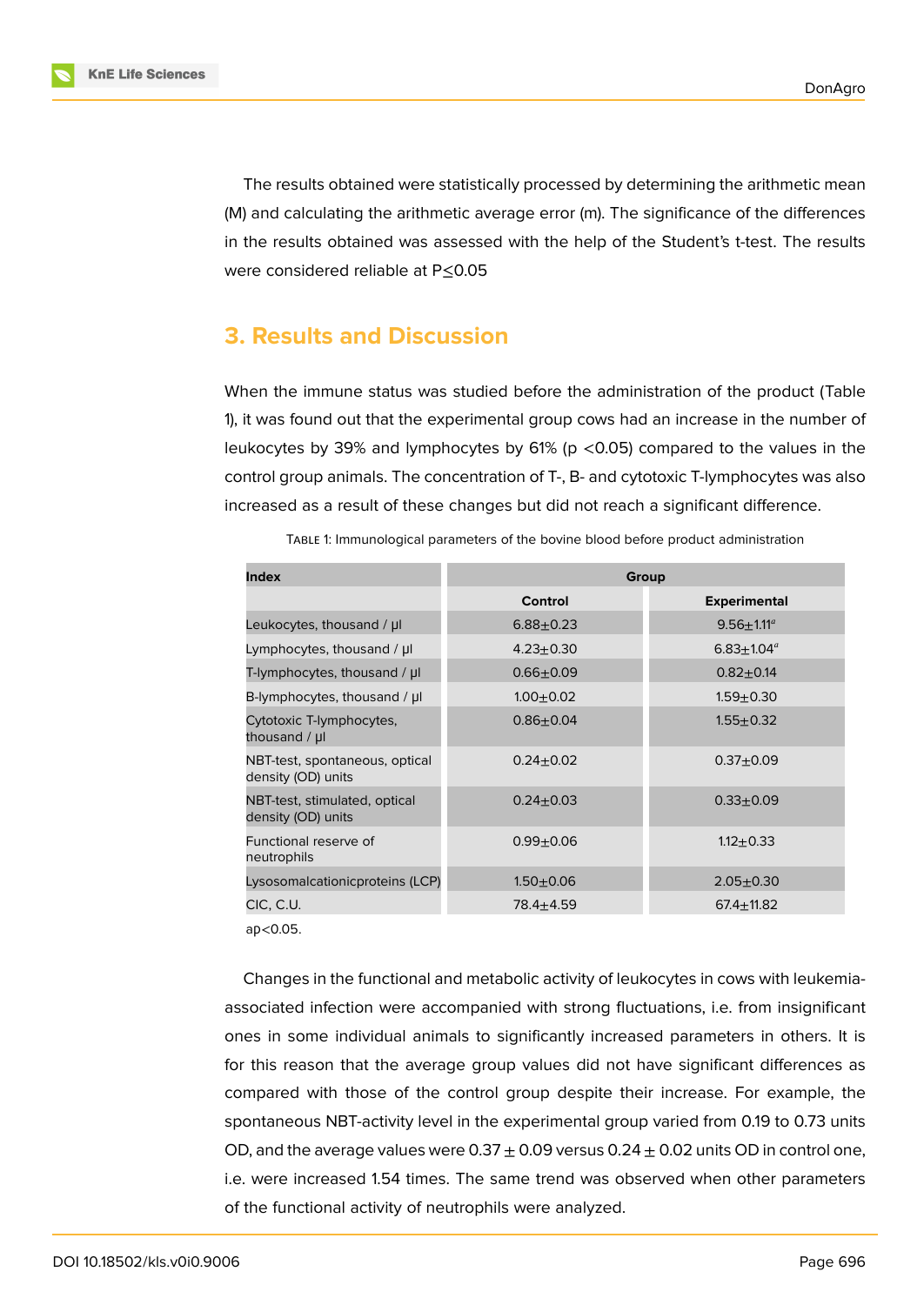**KnE Life Sciences** 

The results obtained were statistically processed by determining the arithmetic mean (M) and calculating the arithmetic average error (m). The significance of the differences in the results obtained was assessed with the help of the Student's t-test. The results were considered reliable at P≤0.05

# **3. Results and Discussion**

When the immune status was studied before the administration of the product (Table 1), it was found out that the experimental group cows had an increase in the number of leukocytes by 39% and lymphocytes by 61% (p <0.05) compared to the values in the control group animals. The concentration of T-, B- and cytotoxic T-lymphocytes was also increased as a result of these changes but did not reach a significant difference.

| <b>Index</b>                                         | Group           |                         |
|------------------------------------------------------|-----------------|-------------------------|
|                                                      | <b>Control</b>  | <b>Experimental</b>     |
| Leukocytes, thousand / µl                            | $6.88 + 0.23$   | $9.56 + 1.11^a$         |
| Lymphocytes, thousand / µl                           | $4.23 \pm 0.30$ | $6.83 \pm 1.04^{\circ}$ |
| T-lymphocytes, thousand / µl                         | $0.66 + 0.09$   | $0.82 + 0.14$           |
| B-lymphocytes, thousand / µl                         | $1.00 + 0.02$   | $1.59 + 0.30$           |
| Cytotoxic T-lymphocytes,<br>thousand / µl            | $0.86 + 0.04$   | $1.55 + 0.32$           |
| NBT-test, spontaneous, optical<br>density (OD) units | $0.24 \pm 0.02$ | $0.37 + 0.09$           |
| NBT-test, stimulated, optical<br>density (OD) units  | $0.24 \pm 0.03$ | $0.33 + 0.09$           |
| Functional reserve of<br>neutrophils                 | $0.99 + 0.06$   | $1.12 + 0.33$           |
| Lysosomalcationicproteins (LCP)                      | $1.50 + 0.06$   | $2.05 + 0.30$           |
| CIC, C.U.                                            | $78.4 + 4.59$   | $67.4 \pm 11.82$        |
|                                                      |                 |                         |

TABLE 1: Immunological parameters of the bovine blood before product administration

aр<0.05.

Changes in the functional and metabolic activity of leukocytes in cows with leukemiaassociated infection were accompanied with strong fluctuations, i.e. from insignificant ones in some individual animals to significantly increased parameters in others. It is for this reason that the average group values did not have significant differences as compared with those of the control group despite their increase. For example, the spontaneous NBT-activity level in the experimental group varied from 0.19 to 0.73 units OD, and the average values were  $0.37 \pm 0.09$  versus  $0.24 \pm 0.02$  units OD in control one, i.e. were increased 1.54 times. The same trend was observed when other parameters of the functional activity of neutrophils were analyzed.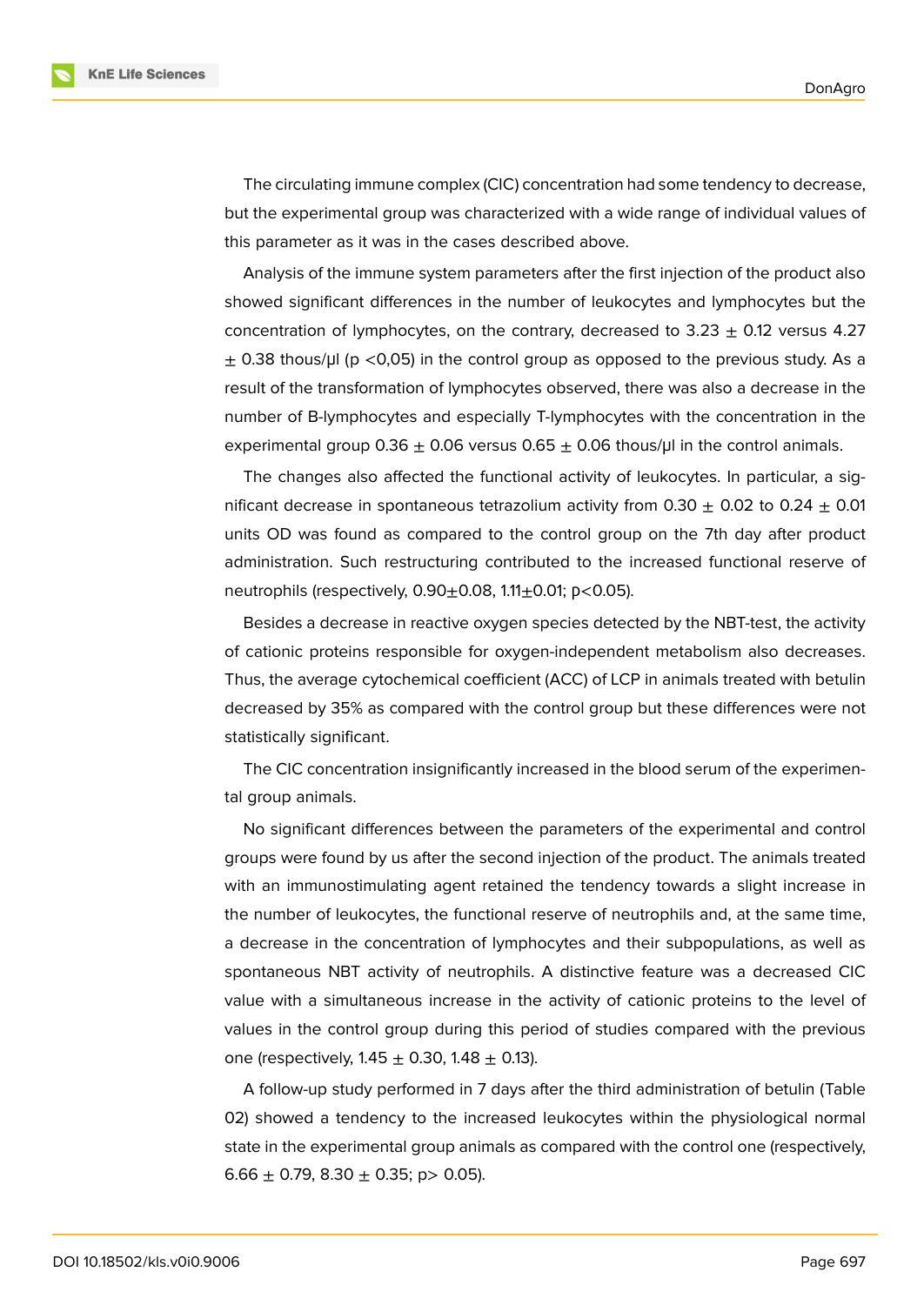**KnE Life Sciences** 

The circulating immune complex (CIC) concentration had some tendency to decrease, but the experimental group was characterized with a wide range of individual values of this parameter as it was in the cases described above.

Analysis of the immune system parameters after the first injection of the product also showed significant differences in the number of leukocytes and lymphocytes but the concentration of lymphocytes, on the contrary, decreased to  $3.23 \pm 0.12$  versus 4.27  $\pm$  0.38 thous/µl (p <0,05) in the control group as opposed to the previous study. As a result of the transformation of lymphocytes observed, there was also a decrease in the number of B-lymphocytes and especially T-lymphocytes with the concentration in the experimental group 0.36  $\pm$  0.06 versus 0.65  $\pm$  0.06 thous/µ in the control animals.

The changes also affected the functional activity of leukocytes. In particular, a significant decrease in spontaneous tetrazolium activity from  $0.30 \pm 0.02$  to  $0.24 \pm 0.01$ units OD was found as compared to the control group on the 7th day after product administration. Such restructuring contributed to the increased functional reserve of neutrophils (respectively,  $0.90 \pm 0.08$ ,  $1.11 \pm 0.01$ ; p<0.05).

Besides a decrease in reactive oxygen species detected by the NBT-test, the activity of cationic proteins responsible for oxygen-independent metabolism also decreases. Thus, the average cytochemical coefficient (ACC) of LCP in animals treated with betulin decreased by 35% as compared with the control group but these differences were not statistically significant.

The CIC concentration insignificantly increased in the blood serum of the experimental group animals.

No significant differences between the parameters of the experimental and control groups were found by us after the second injection of the product. The animals treated with an immunostimulating agent retained the tendency towards a slight increase in the number of leukocytes, the functional reserve of neutrophils and, at the same time, a decrease in the concentration of lymphocytes and their subpopulations, as well as spontaneous NBT activity of neutrophils. A distinctive feature was a decreased CIC value with a simultaneous increase in the activity of cationic proteins to the level of values in the control group during this period of studies compared with the previous one (respectively,  $1.45 \pm 0.30$ ,  $1.48 \pm 0.13$ ).

A follow-up study performed in 7 days after the third administration of betulin (Table 02) showed a tendency to the increased leukocytes within the physiological normal state in the experimental group animals as compared with the control one (respectively, 6.66  $\pm$  0.79, 8.30  $\pm$  0.35; p > 0.05).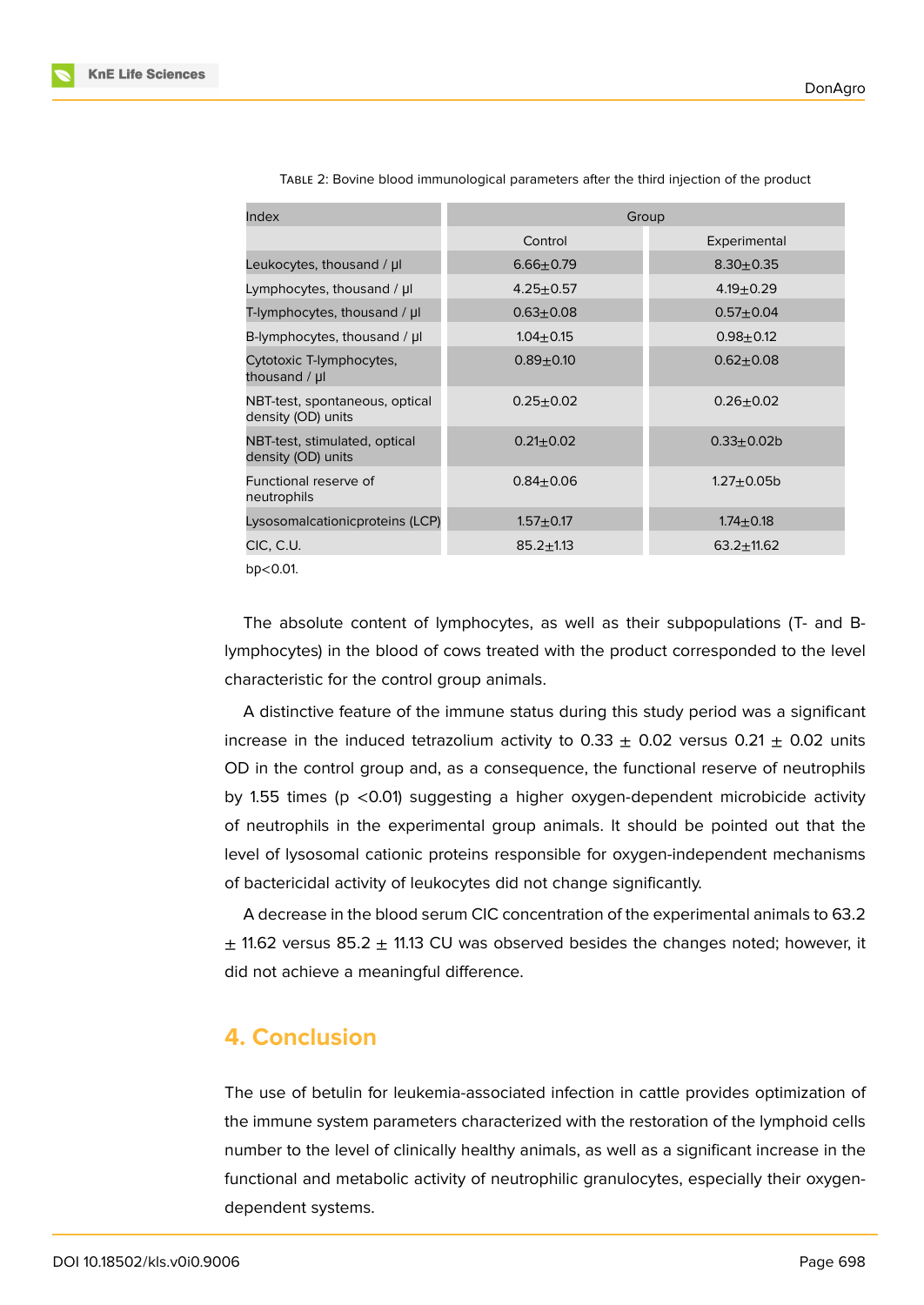| Index                                                | Group           |                 |
|------------------------------------------------------|-----------------|-----------------|
|                                                      | Control         | Experimental    |
| Leukocytes, thousand / µl                            | $6.66 + 0.79$   | $8.30 + 0.35$   |
| Lymphocytes, thousand / µl                           | $4.25 + 0.57$   | $4.19 \pm 0.29$ |
| T-lymphocytes, thousand / µl                         | $0.63 + 0.08$   | $0.57 + 0.04$   |
| B-lymphocytes, thousand $/ \mu$                      | $1.04 \pm 0.15$ | $0.98 + 0.12$   |
| Cytotoxic T-lymphocytes,<br>thousand / µl            | $0.89 + 0.10$   | $0.62 + 0.08$   |
| NBT-test, spontaneous, optical<br>density (OD) units | $0.25 + 0.02$   | $0.26 + 0.02$   |
| NBT-test, stimulated, optical<br>density (OD) units  | $0.21 \pm 0.02$ | $0.33 + 0.02b$  |
| Functional reserve of<br>neutrophils                 | $0.84 + 0.06$   | $1.27 + 0.05$ b |
| Lysosomalcationicproteins (LCP)                      | $1.57 + 0.17$   | $1.74 \pm 0.18$ |
| CIC, C.U.                                            | $85.2 \pm 1.13$ | $63.2 + 11.62$  |
|                                                      |                 |                 |

TABLE 2: Bovine blood immunological parameters after the third injection of the product

bр<0.01.

The absolute content of lymphocytes, as well as their subpopulations (T- and Blymphocytes) in the blood of cows treated with the product corresponded to the level characteristic for the control group animals.

A distinctive feature of the immune status during this study period was a significant increase in the induced tetrazolium activity to  $0.33 \pm 0.02$  versus  $0.21 \pm 0.02$  units OD in the control group and, as a consequence, the functional reserve of neutrophils by 1.55 times (p <0.01) suggesting a higher oxygen-dependent microbicide activity of neutrophils in the experimental group animals. It should be pointed out that the level of lysosomal cationic proteins responsible for oxygen-independent mechanisms of bactericidal activity of leukocytes did not change significantly.

A decrease in the blood serum CIC concentration of the experimental animals to 63.2  $\pm$  11.62 versus 85.2  $\pm$  11.13 CU was observed besides the changes noted; however, it did not achieve a meaningful difference.

## **4. Conclusion**

The use of betulin for leukemia-associated infection in cattle provides optimization of the immune system parameters characterized with the restoration of the lymphoid cells number to the level of clinically healthy animals, as well as a significant increase in the functional and metabolic activity of neutrophilic granulocytes, especially their oxygendependent systems.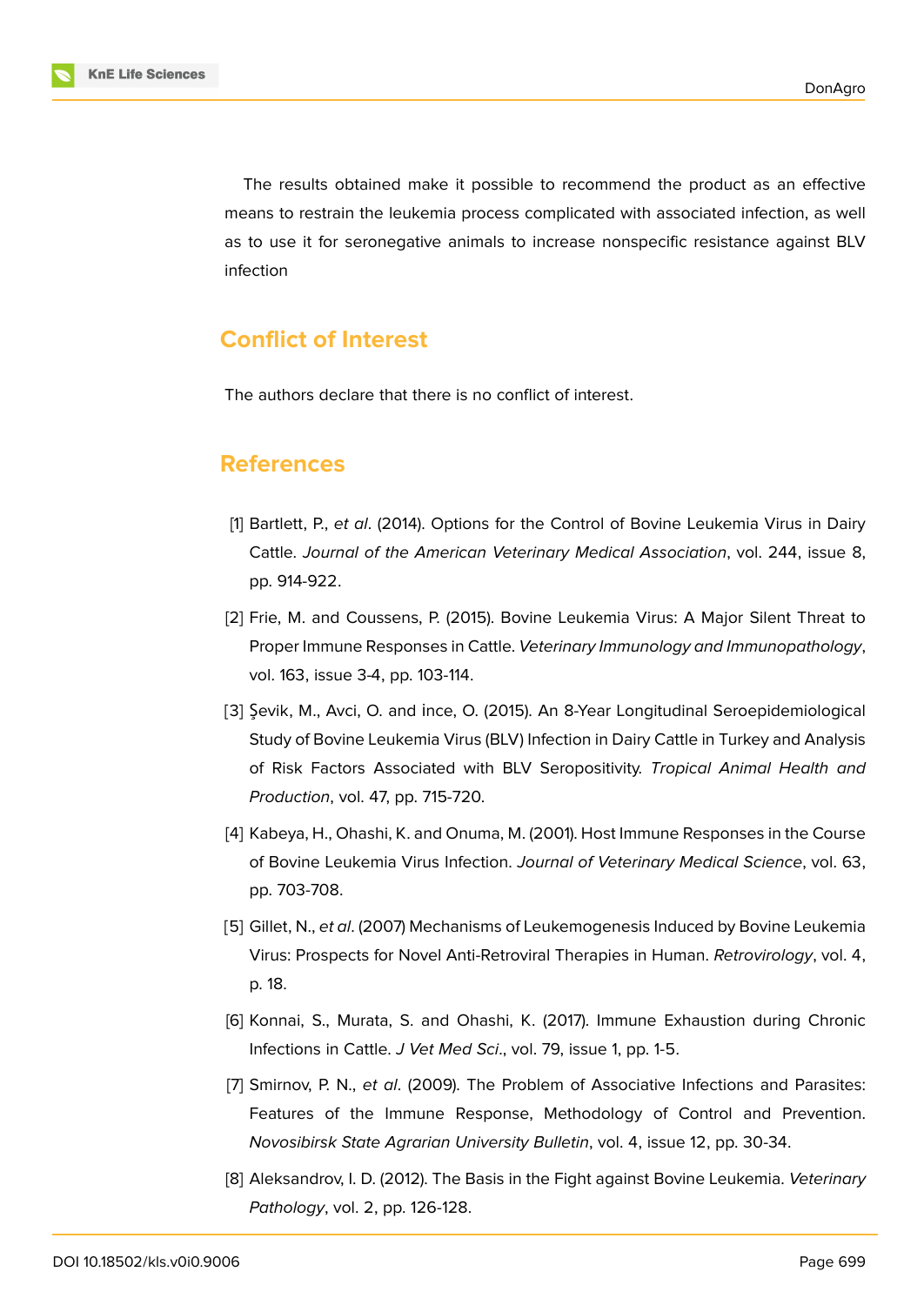

The results obtained make it possible to recommend the product as an effective means to restrain the leukemia process complicated with associated infection, as well as to use it for seronegative animals to increase nonspecific resistance against BLV infection

# **Conflict of Interest**

The authors declare that there is no conflict of interest.

### **References**

- [1] Bartlett, P., *et al*. (2014). Options for the Control of Bovine Leukemia Virus in Dairy Cattle. *Journal of the American Veterinary Medical Association*, vol. 244, issue 8, pp. 914-922.
- [2] Frie, M. and Coussens, P. (2015). Bovine Leukemia Virus: A Major Silent Threat to Proper Immune Responses in Cattle. *Veterinary Immunology and Immunopathology*, vol. 163, issue 3-4, pp. 103-114.
- [3] Şevik, M., Avci, O. and İnce, O. (2015). An 8-Year Longitudinal Seroepidemiological Study of Bovine Leukemia Virus (BLV) Infection in Dairy Cattle in Turkey and Analysis of Risk Factors Associated with BLV Seropositivity. *Tropical Animal Health and Production*, vol. 47, pp. 715-720.
- [4] Kabeya, H., Ohashi, K. and Onuma, M. (2001). Host Immune Responses in the Course of Bovine Leukemia Virus Infection. *Journal of Veterinary Medical Science*, vol. 63, pp. 703-708.
- [5] Gillet, N., *et al*. (2007) Mechanisms of Leukemogenesis Induced by Bovine Leukemia Virus: Prospects for Novel Anti-Retroviral Therapies in Human. *Retrovirology*, vol. 4, p. 18.
- [6] Konnai, S., Murata, S. and Ohashi, K. (2017). Immune Exhaustion during Chronic Infections in Cattle. *J Vet Med Sci*., vol. 79, issue 1, pp. 1-5.
- <span id="page-6-0"></span>[7] Smirnov, P. N., *et al*. (2009). The Problem of Associative Infections and Parasites: Features of the Immune Response, Methodology of Control and Prevention. *Novosibirsk State Agrarian University Bulletin*, vol. 4, issue 12, pp. 30-34.
- <span id="page-6-1"></span>[8] Aleksandrov, I. D. (2012). The Basis in the Fight against Bovine Leukemia. *Veterinary Pathology*, vol. 2, pp. 126-128.